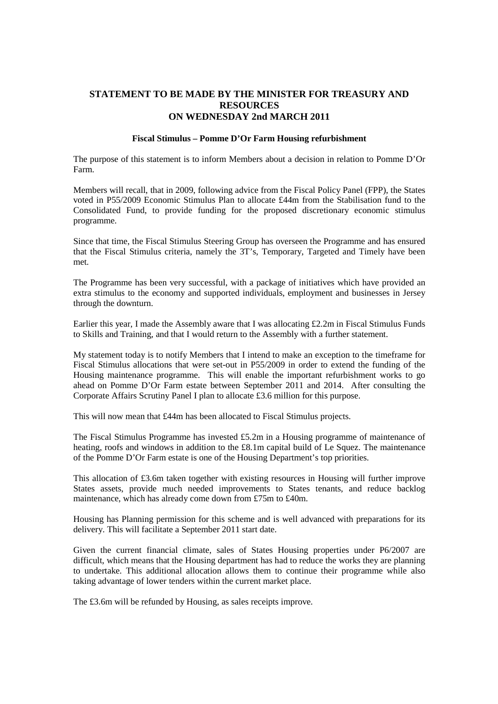### **STATEMENT TO BE MADE BY THE MINISTER FOR TREASURY AND RESOURCES ON WEDNESDAY 2nd MARCH 2011**

#### **Fiscal Stimulus – Pomme D'Or Farm Housing refurbishment**

The purpose of this statement is to inform Members about a decision in relation to Pomme D'Or Farm.

Members will recall, that in 2009, following advice from the Fiscal Policy Panel (FPP), the States voted in P55/2009 Economic Stimulus Plan to allocate £44m from the Stabilisation fund to the Consolidated Fund, to provide funding for the proposed discretionary economic stimulus programme.

Since that time, the Fiscal Stimulus Steering Group has overseen the Programme and has ensured that the Fiscal Stimulus criteria, namely the 3T's, Temporary, Targeted and Timely have been met.

The Programme has been very successful, with a package of initiatives which have provided an extra stimulus to the economy and supported individuals, employment and businesses in Jersey through the downturn.

Earlier this year, I made the Assembly aware that I was allocating £2.2m in Fiscal Stimulus Funds to Skills and Training, and that I would return to the Assembly with a further statement.

My statement today is to notify Members that I intend to make an exception to the timeframe for Fiscal Stimulus allocations that were set-out in P55/2009 in order to extend the funding of the Housing maintenance programme. This will enable the important refurbishment works to go ahead on Pomme D'Or Farm estate between September 2011 and 2014. After consulting the Corporate Affairs Scrutiny Panel I plan to allocate £3.6 million for this purpose.

This will now mean that £44m has been allocated to Fiscal Stimulus projects.

The Fiscal Stimulus Programme has invested £5.2m in a Housing programme of maintenance of heating, roofs and windows in addition to the £8.1m capital build of Le Squez. The maintenance of the Pomme D'Or Farm estate is one of the Housing Department's top priorities.

This allocation of £3.6m taken together with existing resources in Housing will further improve States assets, provide much needed improvements to States tenants, and reduce backlog maintenance, which has already come down from £75m to £40m.

Housing has Planning permission for this scheme and is well advanced with preparations for its delivery. This will facilitate a September 2011 start date.

Given the current financial climate, sales of States Housing properties under P6/2007 are difficult, which means that the Housing department has had to reduce the works they are planning to undertake. This additional allocation allows them to continue their programme while also taking advantage of lower tenders within the current market place.

The £3.6m will be refunded by Housing, as sales receipts improve.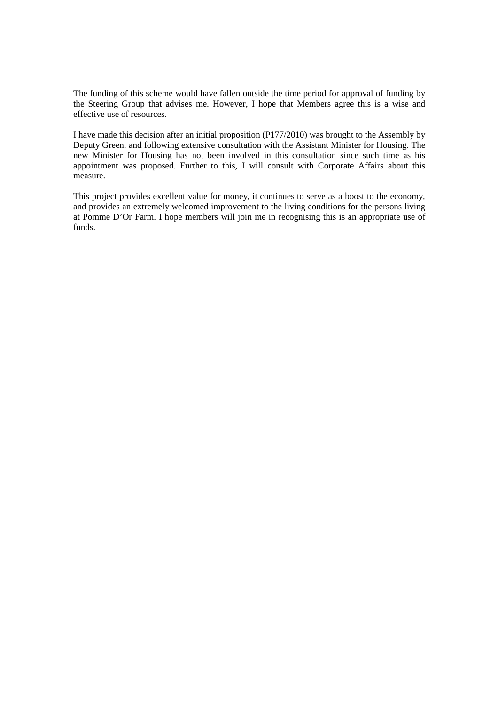The funding of this scheme would have fallen outside the time period for approval of funding by the Steering Group that advises me. However, I hope that Members agree this is a wise and effective use of resources.

I have made this decision after an initial proposition (P177/2010) was brought to the Assembly by Deputy Green, and following extensive consultation with the Assistant Minister for Housing. The new Minister for Housing has not been involved in this consultation since such time as his appointment was proposed. Further to this, I will consult with Corporate Affairs about this measure.

This project provides excellent value for money, it continues to serve as a boost to the economy, and provides an extremely welcomed improvement to the living conditions for the persons living at Pomme D'Or Farm. I hope members will join me in recognising this is an appropriate use of funds.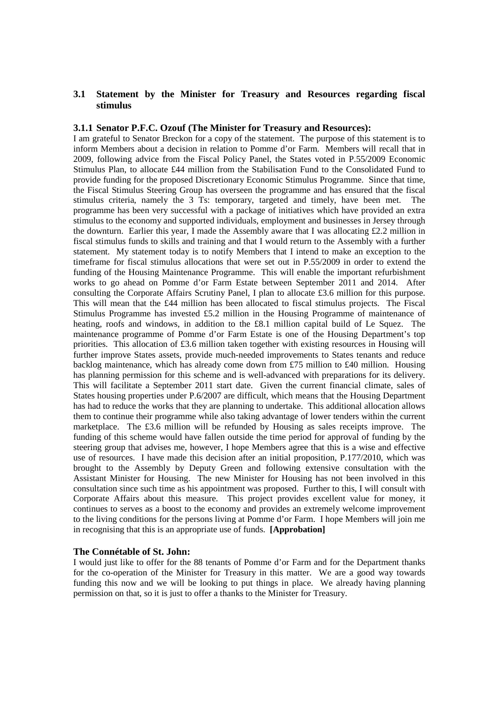### **3.1 Statement by the Minister for Treasury and Resources regarding fiscal stimulus**

#### **3.1.1 Senator P.F.C. Ozouf (The Minister for Treasury and Resources):**

I am grateful to Senator Breckon for a copy of the statement. The purpose of this statement is to inform Members about a decision in relation to Pomme d'or Farm. Members will recall that in 2009, following advice from the Fiscal Policy Panel, the States voted in P.55/2009 Economic Stimulus Plan, to allocate £44 million from the Stabilisation Fund to the Consolidated Fund to provide funding for the proposed Discretionary Economic Stimulus Programme. Since that time, the Fiscal Stimulus Steering Group has overseen the programme and has ensured that the fiscal stimulus criteria, namely the 3 Ts: temporary, targeted and timely, have been met. The programme has been very successful with a package of initiatives which have provided an extra stimulus to the economy and supported individuals, employment and businesses in Jersey through the downturn. Earlier this year, I made the Assembly aware that I was allocating £2.2 million in fiscal stimulus funds to skills and training and that I would return to the Assembly with a further statement. My statement today is to notify Members that I intend to make an exception to the timeframe for fiscal stimulus allocations that were set out in P.55/2009 in order to extend the funding of the Housing Maintenance Programme. This will enable the important refurbishment works to go ahead on Pomme d'or Farm Estate between September 2011 and 2014. After consulting the Corporate Affairs Scrutiny Panel, I plan to allocate £3.6 million for this purpose. This will mean that the £44 million has been allocated to fiscal stimulus projects. The Fiscal Stimulus Programme has invested £5.2 million in the Housing Programme of maintenance of heating, roofs and windows, in addition to the £8.1 million capital build of Le Squez. The maintenance programme of Pomme d'or Farm Estate is one of the Housing Department's top priorities. This allocation of £3.6 million taken together with existing resources in Housing will further improve States assets, provide much-needed improvements to States tenants and reduce backlog maintenance, which has already come down from £75 million to £40 million. Housing has planning permission for this scheme and is well-advanced with preparations for its delivery. This will facilitate a September 2011 start date. Given the current financial climate, sales of States housing properties under P.6/2007 are difficult, which means that the Housing Department has had to reduce the works that they are planning to undertake. This additional allocation allows them to continue their programme while also taking advantage of lower tenders within the current marketplace. The £3.6 million will be refunded by Housing as sales receipts improve. The funding of this scheme would have fallen outside the time period for approval of funding by the steering group that advises me, however, I hope Members agree that this is a wise and effective use of resources. I have made this decision after an initial proposition, P.177/2010, which was brought to the Assembly by Deputy Green and following extensive consultation with the Assistant Minister for Housing. The new Minister for Housing has not been involved in this consultation since such time as his appointment was proposed. Further to this, I will consult with Corporate Affairs about this measure. This project provides excellent value for money, it continues to serves as a boost to the economy and provides an extremely welcome improvement to the living conditions for the persons living at Pomme d'or Farm. I hope Members will join me in recognising that this is an appropriate use of funds. **[Approbation]**

#### **The Connétable of St. John:**

I would just like to offer for the 88 tenants of Pomme d'or Farm and for the Department thanks for the co-operation of the Minister for Treasury in this matter. We are a good way towards funding this now and we will be looking to put things in place. We already having planning permission on that, so it is just to offer a thanks to the Minister for Treasury.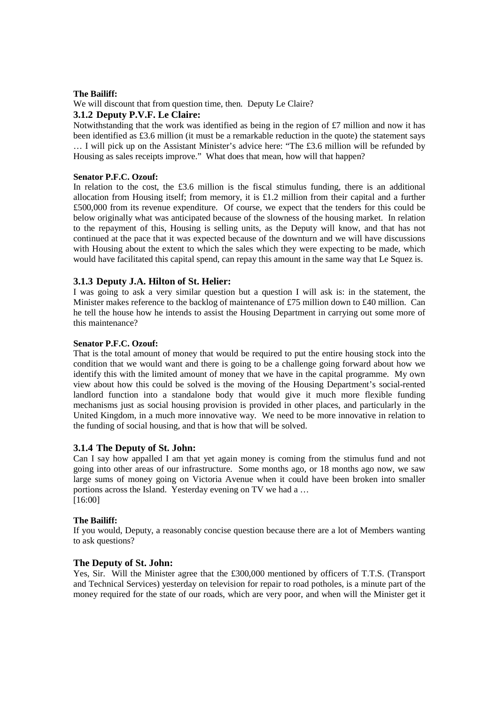#### **The Bailiff:**

We will discount that from question time, then. Deputy Le Claire?

### **3.1.2 Deputy P.V.F. Le Claire:**

Notwithstanding that the work was identified as being in the region of  $\mathcal{L}7$  million and now it has been identified as £3.6 million (it must be a remarkable reduction in the quote) the statement says … I will pick up on the Assistant Minister's advice here: "The £3.6 million will be refunded by Housing as sales receipts improve." What does that mean, how will that happen?

#### **Senator P.F.C. Ozouf:**

In relation to the cost, the £3.6 million is the fiscal stimulus funding, there is an additional allocation from Housing itself; from memory, it is £1.2 million from their capital and a further £500,000 from its revenue expenditure. Of course, we expect that the tenders for this could be below originally what was anticipated because of the slowness of the housing market. In relation to the repayment of this, Housing is selling units, as the Deputy will know, and that has not continued at the pace that it was expected because of the downturn and we will have discussions with Housing about the extent to which the sales which they were expecting to be made, which would have facilitated this capital spend, can repay this amount in the same way that Le Squez is.

### **3.1.3 Deputy J.A. Hilton of St. Helier:**

I was going to ask a very similar question but a question I will ask is: in the statement, the Minister makes reference to the backlog of maintenance of £75 million down to £40 million. Can he tell the house how he intends to assist the Housing Department in carrying out some more of this maintenance?

### **Senator P.F.C. Ozouf:**

That is the total amount of money that would be required to put the entire housing stock into the condition that we would want and there is going to be a challenge going forward about how we identify this with the limited amount of money that we have in the capital programme. My own view about how this could be solved is the moving of the Housing Department's social-rented landlord function into a standalone body that would give it much more flexible funding mechanisms just as social housing provision is provided in other places, and particularly in the United Kingdom, in a much more innovative way. We need to be more innovative in relation to the funding of social housing, and that is how that will be solved.

## **3.1.4 The Deputy of St. John:**

Can I say how appalled I am that yet again money is coming from the stimulus fund and not going into other areas of our infrastructure. Some months ago, or 18 months ago now, we saw large sums of money going on Victoria Avenue when it could have been broken into smaller portions across the Island. Yesterday evening on TV we had a … [16:00]

#### **The Bailiff:**

If you would, Deputy, a reasonably concise question because there are a lot of Members wanting to ask questions?

### **The Deputy of St. John:**

Yes, Sir. Will the Minister agree that the £300,000 mentioned by officers of T.T.S. (Transport and Technical Services) yesterday on television for repair to road potholes, is a minute part of the money required for the state of our roads, which are very poor, and when will the Minister get it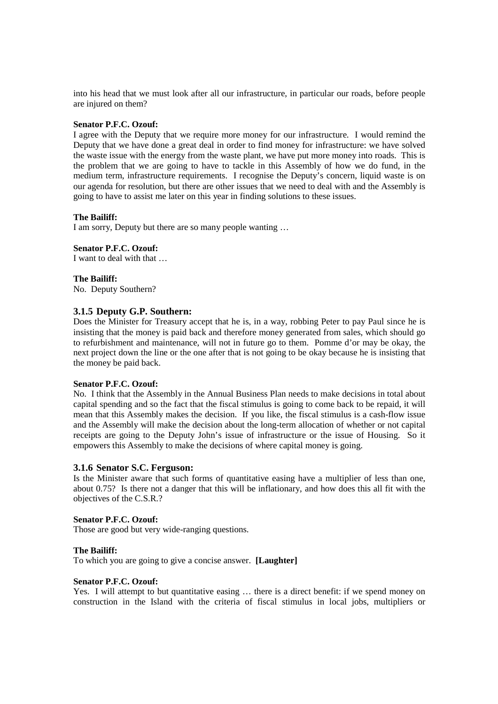into his head that we must look after all our infrastructure, in particular our roads, before people are injured on them?

#### **Senator P.F.C. Ozouf:**

I agree with the Deputy that we require more money for our infrastructure. I would remind the Deputy that we have done a great deal in order to find money for infrastructure: we have solved the waste issue with the energy from the waste plant, we have put more money into roads. This is the problem that we are going to have to tackle in this Assembly of how we do fund, in the medium term, infrastructure requirements. I recognise the Deputy's concern, liquid waste is on our agenda for resolution, but there are other issues that we need to deal with and the Assembly is going to have to assist me later on this year in finding solutions to these issues.

#### **The Bailiff:**

I am sorry, Deputy but there are so many people wanting …

#### **Senator P.F.C. Ozouf:**

I want to deal with that …

### **The Bailiff:**

No. Deputy Southern?

#### **3.1.5 Deputy G.P. Southern:**

Does the Minister for Treasury accept that he is, in a way, robbing Peter to pay Paul since he is insisting that the money is paid back and therefore money generated from sales, which should go to refurbishment and maintenance, will not in future go to them. Pomme d'or may be okay, the next project down the line or the one after that is not going to be okay because he is insisting that the money be paid back.

#### **Senator P.F.C. Ozouf:**

No. I think that the Assembly in the Annual Business Plan needs to make decisions in total about capital spending and so the fact that the fiscal stimulus is going to come back to be repaid, it will mean that this Assembly makes the decision. If you like, the fiscal stimulus is a cash-flow issue and the Assembly will make the decision about the long-term allocation of whether or not capital receipts are going to the Deputy John's issue of infrastructure or the issue of Housing. So it empowers this Assembly to make the decisions of where capital money is going.

#### **3.1.6 Senator S.C. Ferguson:**

Is the Minister aware that such forms of quantitative easing have a multiplier of less than one, about 0.75? Is there not a danger that this will be inflationary, and how does this all fit with the objectives of the C.S.R.?

#### **Senator P.F.C. Ozouf:**

Those are good but very wide-ranging questions.

#### **The Bailiff:**

To which you are going to give a concise answer. **[Laughter]**

#### **Senator P.F.C. Ozouf:**

Yes. I will attempt to but quantitative easing … there is a direct benefit: if we spend money on construction in the Island with the criteria of fiscal stimulus in local jobs, multipliers or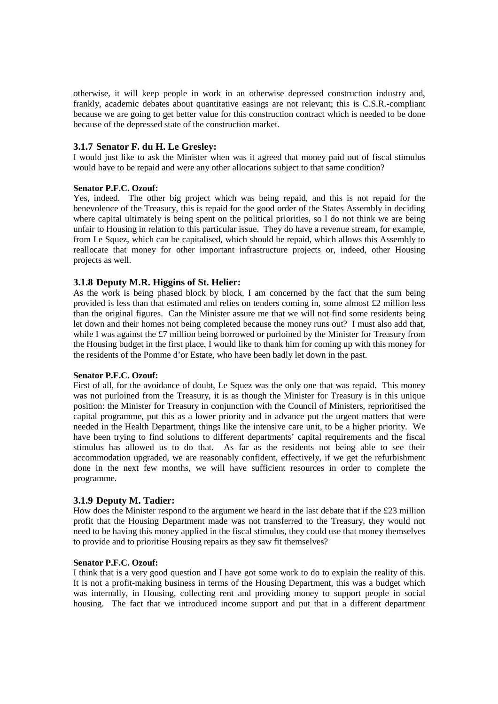otherwise, it will keep people in work in an otherwise depressed construction industry and, frankly, academic debates about quantitative easings are not relevant; this is C.S.R.-compliant because we are going to get better value for this construction contract which is needed to be done because of the depressed state of the construction market.

## **3.1.7 Senator F. du H. Le Gresley:**

I would just like to ask the Minister when was it agreed that money paid out of fiscal stimulus would have to be repaid and were any other allocations subject to that same condition?

### **Senator P.F.C. Ozouf:**

Yes, indeed. The other big project which was being repaid, and this is not repaid for the benevolence of the Treasury, this is repaid for the good order of the States Assembly in deciding where capital ultimately is being spent on the political priorities, so I do not think we are being unfair to Housing in relation to this particular issue. They do have a revenue stream, for example, from Le Squez, which can be capitalised, which should be repaid, which allows this Assembly to reallocate that money for other important infrastructure projects or, indeed, other Housing projects as well.

# **3.1.8 Deputy M.R. Higgins of St. Helier:**

As the work is being phased block by block, I am concerned by the fact that the sum being provided is less than that estimated and relies on tenders coming in, some almost £2 million less than the original figures. Can the Minister assure me that we will not find some residents being let down and their homes not being completed because the money runs out? I must also add that, while I was against the £7 million being borrowed or purloined by the Minister for Treasury from the Housing budget in the first place, I would like to thank him for coming up with this money for the residents of the Pomme d'or Estate, who have been badly let down in the past.

### **Senator P.F.C. Ozouf:**

First of all, for the avoidance of doubt, Le Squez was the only one that was repaid. This money was not purloined from the Treasury, it is as though the Minister for Treasury is in this unique position: the Minister for Treasury in conjunction with the Council of Ministers, reprioritised the capital programme, put this as a lower priority and in advance put the urgent matters that were needed in the Health Department, things like the intensive care unit, to be a higher priority. We have been trying to find solutions to different departments' capital requirements and the fiscal stimulus has allowed us to do that. As far as the residents not being able to see their accommodation upgraded, we are reasonably confident, effectively, if we get the refurbishment done in the next few months, we will have sufficient resources in order to complete the programme.

### **3.1.9 Deputy M. Tadier:**

How does the Minister respond to the argument we heard in the last debate that if the  $\pounds 23$  million profit that the Housing Department made was not transferred to the Treasury, they would not need to be having this money applied in the fiscal stimulus, they could use that money themselves to provide and to prioritise Housing repairs as they saw fit themselves?

### **Senator P.F.C. Ozouf:**

I think that is a very good question and I have got some work to do to explain the reality of this. It is not a profit-making business in terms of the Housing Department, this was a budget which was internally, in Housing, collecting rent and providing money to support people in social housing. The fact that we introduced income support and put that in a different department